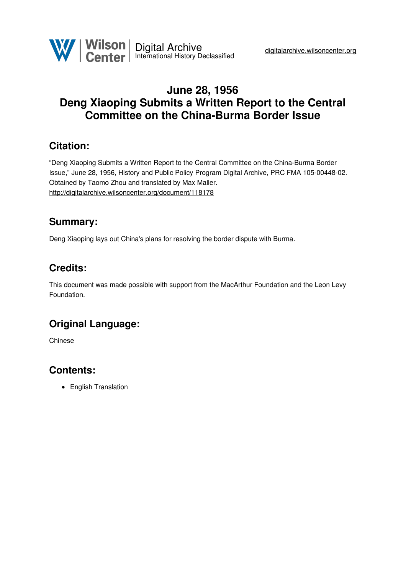

# **June 28, 1956 Deng Xiaoping Submits a Written Report to the Central Committee on the China-Burma Border Issue**

### **Citation:**

"Deng Xiaoping Submits a Written Report to the Central Committee on the China-Burma Border Issue," June 28, 1956, History and Public Policy Program Digital Archive, PRC FMA 105-00448-02. Obtained by Taomo Zhou and translated by Max Maller. <http://digitalarchive.wilsoncenter.org/document/118178>

### **Summary:**

Deng Xiaoping lays out China's plans for resolving the border dispute with Burma.

## **Credits:**

This document was made possible with support from the MacArthur Foundation and the Leon Levy Foundation.

# **Original Language:**

Chinese

# **Contents:**

• English Translation